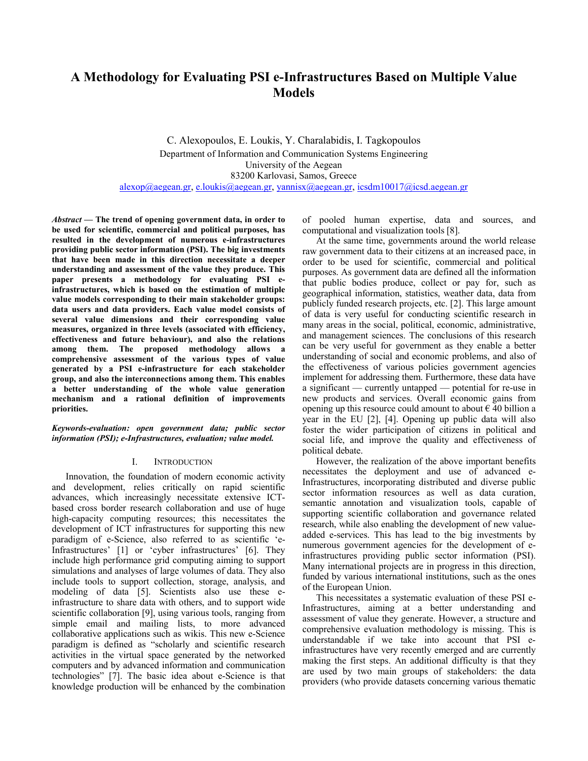# **A Methodology for Evaluating PSI e-Infrastructures Based on Multiple Value Models**

C. Alexopoulos, E. Loukis, Y. Charalabidis, I. Tagkopoulos Department of Information and Communication Systems Engineering University of the Aegean 83200 Karlovasi, Samos, Greece alexop@aegean.gr, e.loukis@aegean.gr, yannisx@aegean.gr, icsdm10017@icsd.aegean.gr

*Abstract* **— The trend of opening government data, in order to be used for scientific, commercial and political purposes, has resulted in the development of numerous e-infrastructures providing public sector information (PSI). The big investments that have been made in this direction necessitate a deeper understanding and assessment of the value they produce. This paper presents a methodology for evaluating PSI einfrastructures, which is based on the estimation of multiple value models corresponding to their main stakeholder groups: data users and data providers. Each value model consists of several value dimensions and their corresponding value measures, organized in three levels (associated with efficiency, effectiveness and future behaviour), and also the relations among them. The proposed methodology allows a comprehensive assessment of the various types of value generated by a PSI e-infrastructure for each stakeholder group, and also the interconnections among them. This enables a better understanding of the whole value generation mechanism and a rational definition of improvements priorities.** 

*Keywords-evaluation: open government data; public sector information (PSI); e-Infrastructures, evaluation; value model.* 

#### I. INTRODUCTION

Innovation, the foundation of modern economic activity and development, relies critically on rapid scientific advances, which increasingly necessitate extensive ICTbased cross border research collaboration and use of huge high-capacity computing resources; this necessitates the development of ICT infrastructures for supporting this new paradigm of e-Science, also referred to as scientific 'e-Infrastructures' [1] or 'cyber infrastructures' [6]. They include high performance grid computing aiming to support simulations and analyses of large volumes of data. They also include tools to support collection, storage, analysis, and modeling of data [5]. Scientists also use these einfrastructure to share data with others, and to support wide scientific collaboration [9], using various tools, ranging from simple email and mailing lists, to more advanced collaborative applications such as wikis. This new e-Science paradigm is defined as "scholarly and scientific research activities in the virtual space generated by the networked computers and by advanced information and communication technologies" [7]. The basic idea about e-Science is that knowledge production will be enhanced by the combination

of pooled human expertise, data and sources, and computational and visualization tools [8].

At the same time, governments around the world release raw government data to their citizens at an increased pace, in order to be used for scientific, commercial and political purposes. As government data are defined all the information that public bodies produce, collect or pay for, such as geographical information, statistics, weather data, data from publicly funded research projects, etc. [2]. This large amount of data is very useful for conducting scientific research in many areas in the social, political, economic, administrative, and management sciences. The conclusions of this research can be very useful for government as they enable a better understanding of social and economic problems, and also of the effectiveness of various policies government agencies implement for addressing them. Furthermore, these data have a significant — currently untapped — potential for re-use in new products and services. Overall economic gains from opening up this resource could amount to about  $\epsilon$  40 billion a year in the EU [2], [4]. Opening up public data will also foster the wider participation of citizens in political and social life, and improve the quality and effectiveness of political debate.

However, the realization of the above important benefits necessitates the deployment and use of advanced e-Infrastructures, incorporating distributed and diverse public sector information resources as well as data curation, semantic annotation and visualization tools, capable of supporting scientific collaboration and governance related research, while also enabling the development of new valueadded e-services. This has lead to the big investments by numerous government agencies for the development of einfrastructures providing public sector information (PSI). Many international projects are in progress in this direction, funded by various international institutions, such as the ones of the European Union.

This necessitates a systematic evaluation of these PSI e-Infrastructures, aiming at a better understanding and assessment of value they generate. However, a structure and comprehensive evaluation methodology is missing. This is understandable if we take into account that PSI einfrastructures have very recently emerged and are currently making the first steps. An additional difficulty is that they are used by two main groups of stakeholders: the data providers (who provide datasets concerning various thematic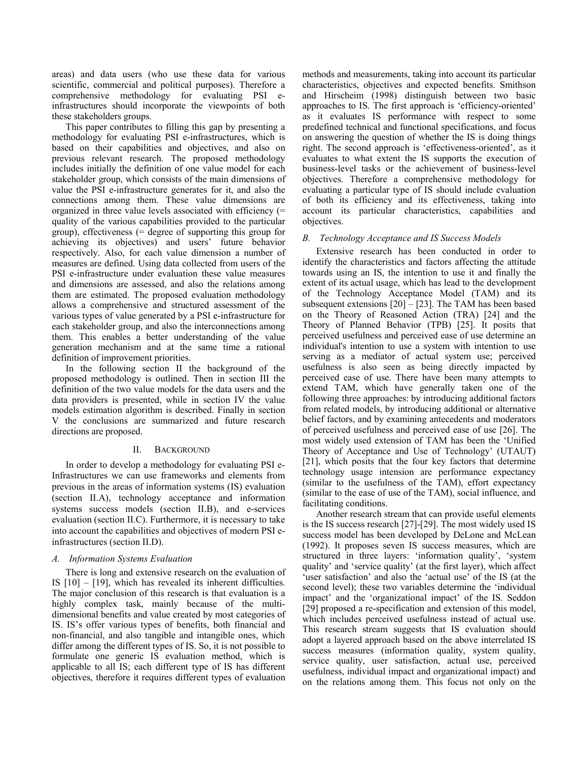areas) and data users (who use these data for various scientific, commercial and political purposes). Therefore a comprehensive methodology for evaluating PSI einfrastructures should incorporate the viewpoints of both these stakeholders groups.

This paper contributes to filling this gap by presenting a methodology for evaluating PSI e-infrastructures, which is based on their capabilities and objectives, and also on previous relevant research. The proposed methodology includes initially the definition of one value model for each stakeholder group, which consists of the main dimensions of value the PSI e-infrastructure generates for it, and also the connections among them. These value dimensions are organized in three value levels associated with efficiency (= quality of the various capabilities provided to the particular group), effectiveness (= degree of supporting this group for achieving its objectives) and users' future behavior respectively. Also, for each value dimension a number of measures are defined. Using data collected from users of the PSI e-infrastructure under evaluation these value measures and dimensions are assessed, and also the relations among them are estimated. The proposed evaluation methodology allows a comprehensive and structured assessment of the various types of value generated by a PSI e-infrastructure for each stakeholder group, and also the interconnections among them. This enables a better understanding of the value generation mechanism and at the same time a rational definition of improvement priorities.

In the following section II the background of the proposed methodology is outlined. Then in section III the definition of the two value models for the data users and the data providers is presented, while in section IV the value models estimation algorithm is described. Finally in section V the conclusions are summarized and future research directions are proposed.

# II. BACKGROUND

In order to develop a methodology for evaluating PSI e-Infrastructures we can use frameworks and elements from previous in the areas of information systems (IS) evaluation (section II.A), technology acceptance and information systems success models (section II.B), and e-services evaluation (section II.C). Furthermore, it is necessary to take into account the capabilities and objectives of modern PSI einfrastructures (section II.D).

# *A. Information Systems Evaluation*

There is long and extensive research on the evaluation of IS [10] – [19], which has revealed its inherent difficulties. The major conclusion of this research is that evaluation is a highly complex task, mainly because of the multidimensional benefits and value created by most categories of IS. IS's offer various types of benefits, both financial and non-financial, and also tangible and intangible ones, which differ among the different types of IS. So, it is not possible to formulate one generic IS evaluation method, which is applicable to all IS; each different type of IS has different objectives, therefore it requires different types of evaluation

methods and measurements, taking into account its particular characteristics, objectives and expected benefits. Smithson and Hirscheim (1998) distinguish between two basic approaches to IS. The first approach is 'efficiency-oriented' as it evaluates IS performance with respect to some predefined technical and functional specifications, and focus on answering the question of whether the IS is doing things right. The second approach is 'effectiveness-oriented', as it evaluates to what extent the IS supports the execution of business-level tasks or the achievement of business-level objectives. Therefore a comprehensive methodology for evaluating a particular type of IS should include evaluation of both its efficiency and its effectiveness, taking into account its particular characteristics, capabilities and objectives.

# *B. Technology Acceptance and IS Success Models*

Extensive research has been conducted in order to identify the characteristics and factors affecting the attitude towards using an IS, the intention to use it and finally the extent of its actual usage, which has lead to the development of the Technology Acceptance Model (TAM) and its subsequent extensions [20] – [23]. The TAM has been based on the Theory of Reasoned Action (TRA) [24] and the Theory of Planned Behavior (TPB) [25]. It posits that perceived usefulness and perceived ease of use determine an individual's intention to use a system with intention to use serving as a mediator of actual system use; perceived usefulness is also seen as being directly impacted by perceived ease of use. There have been many attempts to extend TAM, which have generally taken one of the following three approaches: by introducing additional factors from related models, by introducing additional or alternative belief factors, and by examining antecedents and moderators of perceived usefulness and perceived ease of use [26]. The most widely used extension of TAM has been the 'Unified Theory of Acceptance and Use of Technology' (UTAUT) [21], which posits that the four key factors that determine technology usage intension are performance expectancy (similar to the usefulness of the TAM), effort expectancy (similar to the ease of use of the TAM), social influence, and facilitating conditions.

Another research stream that can provide useful elements is the IS success research [27]-[29]. The most widely used IS success model has been developed by DeLone and McLean (1992). It proposes seven IS success measures, which are structured in three layers: 'information quality', 'system quality' and 'service quality' (at the first layer), which affect 'user satisfaction' and also the 'actual use' of the IS (at the second level); these two variables determine the 'individual impact' and the 'organizational impact' of the IS. Seddon [29] proposed a re-specification and extension of this model, which includes perceived usefulness instead of actual use. This research stream suggests that IS evaluation should adopt a layered approach based on the above interrelated IS success measures (information quality, system quality, service quality, user satisfaction, actual use, perceived usefulness, individual impact and organizational impact) and on the relations among them. This focus not only on the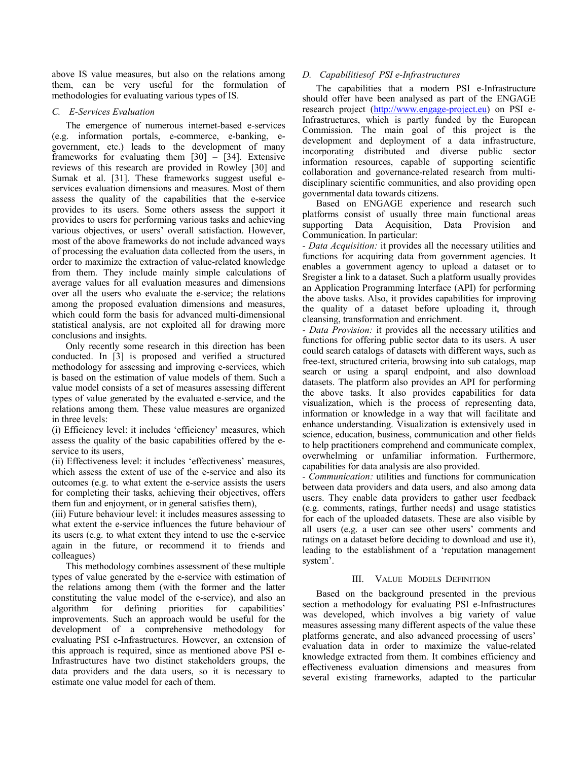above IS value measures, but also on the relations among them, can be very useful for the formulation of methodologies for evaluating various types of IS.

# *C. E-Services Evaluation*

The emergence of numerous internet-based e-services (e.g. information portals, e-commerce, e-banking, egovernment, etc.) leads to the development of many frameworks for evaluating them [30] – [34]. Extensive reviews of this research are provided in Rowley [30] and Sumak et al. [31]. These frameworks suggest useful eservices evaluation dimensions and measures. Most of them assess the quality of the capabilities that the e-service provides to its users. Some others assess the support it provides to users for performing various tasks and achieving various objectives, or users' overall satisfaction. However, most of the above frameworks do not include advanced ways of processing the evaluation data collected from the users, in order to maximize the extraction of value-related knowledge from them. They include mainly simple calculations of average values for all evaluation measures and dimensions over all the users who evaluate the e-service; the relations among the proposed evaluation dimensions and measures, which could form the basis for advanced multi-dimensional statistical analysis, are not exploited all for drawing more conclusions and insights.

Only recently some research in this direction has been conducted. In [3] is proposed and verified a structured methodology for assessing and improving e-services, which is based on the estimation of value models of them. Such a value model consists of a set of measures assessing different types of value generated by the evaluated e-service, and the relations among them. These value measures are organized in three levels:

(i) Efficiency level: it includes 'efficiency' measures, which assess the quality of the basic capabilities offered by the eservice to its users,

(ii) Effectiveness level: it includes 'effectiveness' measures, which assess the extent of use of the e-service and also its outcomes (e.g. to what extent the e-service assists the users for completing their tasks, achieving their objectives, offers them fun and enjoyment, or in general satisfies them),

(iii) Future behaviour level: it includes measures assessing to what extent the e-service influences the future behaviour of its users (e.g. to what extent they intend to use the e-service again in the future, or recommend it to friends and colleagues)

This methodology combines assessment of these multiple types of value generated by the e-service with estimation of the relations among them (with the former and the latter constituting the value model of the e-service), and also an algorithm for defining priorities for capabilities' improvements. Such an approach would be useful for the development of a comprehensive methodology for evaluating PSI e-Infrastructures. However, an extension of this approach is required, since as mentioned above PSI e-Infrastructures have two distinct stakeholders groups, the data providers and the data users, so it is necessary to estimate one value model for each of them.

# *D. Capabilitiesof PSI e-Infrastructures*

The capabilities that a modern PSI e-Infrastructure should offer have been analysed as part of the ENGAGE research project (http://www.engage-project.eu) on PSI e-Infrastructures, which is partly funded by the European Commission. The main goal of this project is the development and deployment of a data infrastructure, incorporating distributed and diverse public sector information resources, capable of supporting scientific collaboration and governance-related research from multidisciplinary scientific communities, and also providing open governmental data towards citizens.

Based on ENGAGE experience and research such platforms consist of usually three main functional areas supporting Data Acquisition, Data Provision and Communication. In particular:

*- Data Acquisition:* it provides all the necessary utilities and functions for acquiring data from government agencies. It enables a government agency to upload a dataset or to Sregister a link to a dataset. Such a platform usually provides an Application Programming Interface (API) for performing the above tasks. Also, it provides capabilities for improving the quality of a dataset before uploading it, through cleansing, transformation and enrichment.

*- Data Provision:* it provides all the necessary utilities and functions for offering public sector data to its users. A user could search catalogs of datasets with different ways, such as free-text, structured criteria, browsing into sub catalogs, map search or using a sparql endpoint, and also download datasets. The platform also provides an API for performing the above tasks. It also provides capabilities for data visualization, which is the process of representing data, information or knowledge in a way that will facilitate and enhance understanding. Visualization is extensively used in science, education, business, communication and other fields to help practitioners comprehend and communicate complex, overwhelming or unfamiliar information. Furthermore, capabilities for data analysis are also provided.

*- Communication:* utilities and functions for communication between data providers and data users, and also among data users. They enable data providers to gather user feedback (e.g. comments, ratings, further needs) and usage statistics for each of the uploaded datasets. These are also visible by all users (e.g. a user can see other users' comments and ratings on a dataset before deciding to download and use it), leading to the establishment of a 'reputation management system'.

# III. VALUE MODELS DEFINITION

Based on the background presented in the previous section a methodology for evaluating PSI e-Infrastructures was developed, which involves a big variety of value measures assessing many different aspects of the value these platforms generate, and also advanced processing of users' evaluation data in order to maximize the value-related knowledge extracted from them. It combines efficiency and effectiveness evaluation dimensions and measures from several existing frameworks, adapted to the particular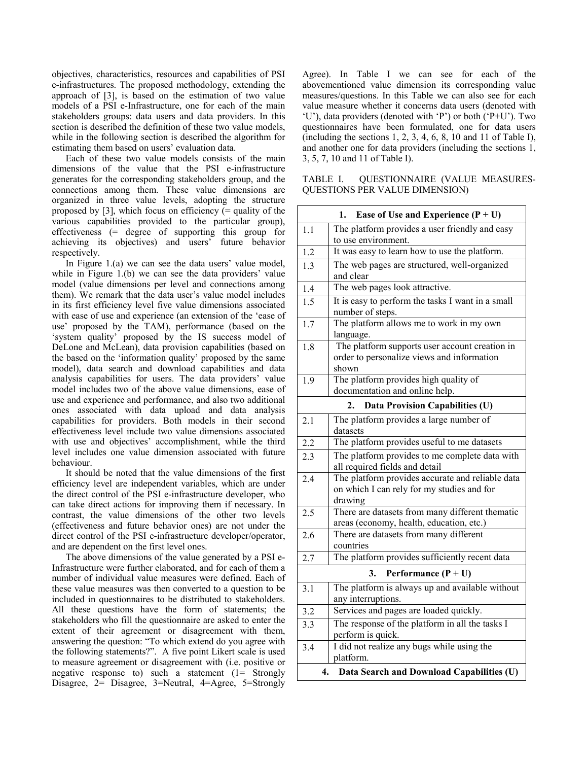objectives, characteristics, resources and capabilities of PSI e-infrastructures. The proposed methodology, extending the approach of [3], is based on the estimation of two value models of a PSI e-Infrastructure, one for each of the main stakeholders groups: data users and data providers. In this section is described the definition of these two value models, while in the following section is described the algorithm for estimating them based on users' evaluation data.

Each of these two value models consists of the main dimensions of the value that the PSI e-infrastructure generates for the corresponding stakeholders group, and the connections among them. These value dimensions are organized in three value levels, adopting the structure proposed by  $[3]$ , which focus on efficiency  $(=$  quality of the various capabilities provided to the particular group), effectiveness (= degree of supporting this group for achieving its objectives) and users' future behavior respectively.

In Figure 1.(a) we can see the data users' value model, while in Figure 1.(b) we can see the data providers' value model (value dimensions per level and connections among them). We remark that the data user's value model includes in its first efficiency level five value dimensions associated with ease of use and experience (an extension of the 'ease of use' proposed by the TAM), performance (based on the 'system quality' proposed by the IS success model of DeLone and McLean), data provision capabilities (based on the based on the 'information quality' proposed by the same model), data search and download capabilities and data analysis capabilities for users. The data providers' value model includes two of the above value dimensions, ease of use and experience and performance, and also two additional ones associated with data upload and data analysis capabilities for providers. Both models in their second effectiveness level include two value dimensions associated with use and objectives' accomplishment, while the third level includes one value dimension associated with future behaviour.

It should be noted that the value dimensions of the first efficiency level are independent variables, which are under the direct control of the PSI e-infrastructure developer, who can take direct actions for improving them if necessary. In contrast, the value dimensions of the other two levels (effectiveness and future behavior ones) are not under the direct control of the PSI e-infrastructure developer/operator, and are dependent on the first level ones.

The above dimensions of the value generated by a PSI e-Infrastructure were further elaborated, and for each of them a number of individual value measures were defined. Each of these value measures was then converted to a question to be included in questionnaires to be distributed to stakeholders. All these questions have the form of statements; the stakeholders who fill the questionnaire are asked to enter the extent of their agreement or disagreement with them, answering the question: "To which extend do you agree with the following statements?". A five point Likert scale is used to measure agreement or disagreement with (i.e. positive or negative response to) such a statement (1= Strongly Disagree, 2= Disagree, 3=Neutral, 4=Agree, 5=Strongly Agree). In Table I we can see for each of the abovementioned value dimension its corresponding value measures/questions. In this Table we can also see for each value measure whether it concerns data users (denoted with 'U'), data providers (denoted with 'P') or both ('P+U'). Two questionnaires have been formulated, one for data users  $($ including the sections 1, 2, 3, 4, 6, 8, 10 and 11 of Table I), and another one for data providers (including the sections 1, 3, 5, 7, 10 and 11 of Table I).

TABLE I. QUESTIONNAIRE (VALUE MEASURES-QUESTIONS PER VALUE DIMENSION)

| Ease of Use and Experience $(P + U)$<br>1.      |                                                                                                           |  |
|-------------------------------------------------|-----------------------------------------------------------------------------------------------------------|--|
| 1.1                                             | The platform provides a user friendly and easy<br>to use environment.                                     |  |
| 1.2                                             | It was easy to learn how to use the platform.                                                             |  |
| 1.3                                             | The web pages are structured, well-organized<br>and clear                                                 |  |
| 1.4                                             | The web pages look attractive.                                                                            |  |
| 1.5                                             | It is easy to perform the tasks I want in a small<br>number of steps.                                     |  |
| 1.7                                             | The platform allows me to work in my own<br>language.                                                     |  |
| 1.8                                             | The platform supports user account creation in<br>order to personalize views and information<br>shown     |  |
| 1.9                                             | The platform provides high quality of<br>documentation and online help.                                   |  |
| 2.<br><b>Data Provision Capabilities (U)</b>    |                                                                                                           |  |
| 2.1                                             | The platform provides a large number of<br>datasets                                                       |  |
| 2.2                                             | The platform provides useful to me datasets                                                               |  |
| 2.3                                             | The platform provides to me complete data with<br>all required fields and detail                          |  |
| 2.4                                             | The platform provides accurate and reliable data<br>on which I can rely for my studies and for<br>drawing |  |
| 2.5                                             | There are datasets from many different thematic<br>areas (economy, health, education, etc.)               |  |
| 2.6                                             | There are datasets from many different<br>countries                                                       |  |
| 2.7                                             | The platform provides sufficiently recent data                                                            |  |
| Performance $(P + U)$<br>3.                     |                                                                                                           |  |
| 3.1                                             | The platform is always up and available without<br>any interruptions.                                     |  |
| 3.2                                             | Services and pages are loaded quickly.                                                                    |  |
| 3.3                                             | The response of the platform in all the tasks I<br>perform is quick.                                      |  |
| 3.4                                             | I did not realize any bugs while using the<br>platform.                                                   |  |
| Data Search and Download Capabilities (U)<br>4. |                                                                                                           |  |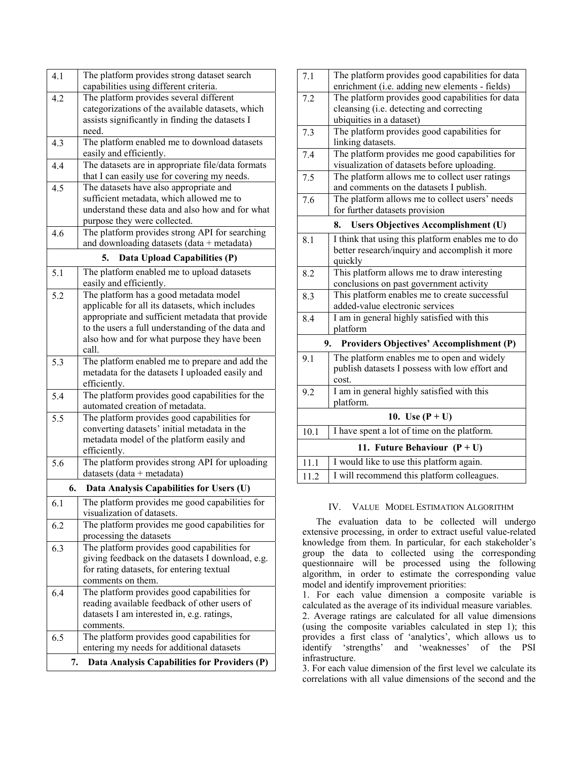| 4.1                                                | The platform provides strong dataset search       |  |
|----------------------------------------------------|---------------------------------------------------|--|
|                                                    | capabilities using different criteria.            |  |
| 4.2                                                | The platform provides several different           |  |
|                                                    | categorizations of the available datasets, which  |  |
|                                                    | assists significantly in finding the datasets I   |  |
|                                                    | need.                                             |  |
| 4.3                                                | The platform enabled me to download datasets      |  |
|                                                    | easily and efficiently.                           |  |
| 4.4                                                | The datasets are in appropriate file/data formats |  |
|                                                    | that I can easily use for covering my needs.      |  |
| 4.5                                                | The datasets have also appropriate and            |  |
|                                                    | sufficient metadata, which allowed me to          |  |
|                                                    | understand these data and also how and for what   |  |
|                                                    | purpose they were collected.                      |  |
| 4.6                                                | The platform provides strong API for searching    |  |
|                                                    | and downloading datasets (data + metadata)        |  |
| Data Upload Capabilities (P)<br>5.                 |                                                   |  |
| 5.1                                                | The platform enabled me to upload datasets        |  |
|                                                    | easily and efficiently.                           |  |
| 5.2                                                | The platform has a good metadata model            |  |
|                                                    | applicable for all its datasets, which includes   |  |
|                                                    | appropriate and sufficient metadata that provide  |  |
|                                                    | to the users a full understanding of the data and |  |
|                                                    | also how and for what purpose they have been      |  |
|                                                    | call.                                             |  |
| 5.3                                                | The platform enabled me to prepare and add the    |  |
|                                                    | metadata for the datasets I uploaded easily and   |  |
|                                                    | efficiently.                                      |  |
| 5.4                                                | The platform provides good capabilities for the   |  |
|                                                    | automated creation of metadata.                   |  |
| 5.5                                                | The platform provides good capabilities for       |  |
|                                                    | converting datasets' initial metadata in the      |  |
|                                                    | metadata model of the platform easily and         |  |
|                                                    | efficiently.                                      |  |
| 5.6                                                | The platform provides strong API for uploading    |  |
|                                                    | datasets (data + metadata)                        |  |
| 6.                                                 | Data Analysis Capabilities for Users (U)          |  |
| 6.1                                                | The platform provides me good capabilities for    |  |
|                                                    | visualization of datasets.                        |  |
| 6.2                                                | The platform provides me good capabilities for    |  |
|                                                    | processing the datasets                           |  |
| 6.3                                                | The platform provides good capabilities for       |  |
|                                                    | giving feedback on the datasets I download, e.g.  |  |
|                                                    | for rating datasets, for entering textual         |  |
|                                                    | comments on them.                                 |  |
| 6.4                                                | The platform provides good capabilities for       |  |
|                                                    | reading available feedback of other users of      |  |
|                                                    | datasets I am interested in, e.g. ratings,        |  |
|                                                    | comments.                                         |  |
| 6.5                                                | The platform provides good capabilities for       |  |
|                                                    | entering my needs for additional datasets         |  |
| Data Analysis Capabilities for Providers (P)<br>7. |                                                   |  |

| 7.1                                                   | The platform provides good capabilities for data<br>enrichment (i.e. adding new elements - fields) |  |
|-------------------------------------------------------|----------------------------------------------------------------------------------------------------|--|
| 7.2                                                   | The platform provides good capabilities for data                                                   |  |
|                                                       | cleansing (i.e. detecting and correcting                                                           |  |
|                                                       | ubiquities in a dataset)                                                                           |  |
| 7.3                                                   | The platform provides good capabilities for                                                        |  |
|                                                       | linking datasets.                                                                                  |  |
| 7.4                                                   | The platform provides me good capabilities for                                                     |  |
|                                                       | visualization of datasets before uploading.                                                        |  |
| 7.5                                                   | The platform allows me to collect user ratings                                                     |  |
|                                                       | and comments on the datasets I publish.                                                            |  |
| 7.6                                                   | The platform allows me to collect users' needs                                                     |  |
|                                                       | for further datasets provision                                                                     |  |
|                                                       | <b>Users Objectives Accomplishment (U)</b><br>8.                                                   |  |
| 8.1                                                   | I think that using this platform enables me to do                                                  |  |
|                                                       | better research/inquiry and accomplish it more                                                     |  |
|                                                       | quickly                                                                                            |  |
| 8.2                                                   | This platform allows me to draw interesting                                                        |  |
|                                                       | conclusions on past government activity                                                            |  |
| 8.3                                                   | This platform enables me to create successful                                                      |  |
|                                                       | added-value electronic services                                                                    |  |
| 8.4                                                   | I am in general highly satisfied with this                                                         |  |
|                                                       | platform                                                                                           |  |
| 9.<br><b>Providers Objectives' Accomplishment (P)</b> |                                                                                                    |  |
| 9.1                                                   | The platform enables me to open and widely                                                         |  |
|                                                       | publish datasets I possess with low effort and                                                     |  |
|                                                       | cost.                                                                                              |  |
| 9.2                                                   | I am in general highly satisfied with this                                                         |  |
|                                                       | platform.                                                                                          |  |
| 10. Use $(P + U)$                                     |                                                                                                    |  |
| 10.1                                                  | I have spent a lot of time on the platform.                                                        |  |
| 11. Future Behaviour $(P + U)$                        |                                                                                                    |  |
| 11.1                                                  | I would like to use this platform again.                                                           |  |
| 11.2                                                  | I will recommend this platform colleagues.                                                         |  |

### IV. VALUE MODEL ESTIMATION ALGORITHM

The evaluation data to be collected will undergo extensive processing, in order to extract useful value-related knowledge from them. In particular, for each stakeholder's group the data to collected using the corresponding questionnaire will be processed using the following algorithm, in order to estimate the corresponding value model and identify improvement priorities:

1. For each value dimension a composite variable is calculated as the average of its individual measure variables.

2. Average ratings are calculated for all value dimensions (using the composite variables calculated in step 1); this provides a first class of 'analytics', which allows us to identify 'strengths' and 'weaknesses' of the PSI infrastructure.

3. For each value dimension of the first level we calculate its correlations with all value dimensions of the second and the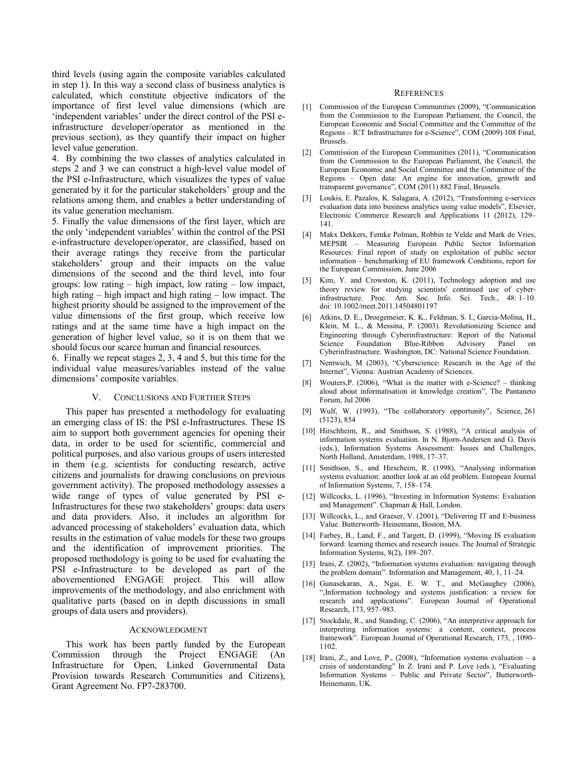third levels (using again the composite variables calculated in step 1). In this way a second class of business analytics is calculated, which constitute objective indicators of the importance of first level value dimensions (which are 'independent variables' under the direct control of the PSI einfrastructure developer/operator as mentioned in the previous section), as they quantify their impact on higher level value generation.

4. By combining the two classes of analytics calculated in steps 2 and 3 we can construct a high-level value model of the PSI e-Infrastructure, which visualizes the types of value generated by it for the particular stakeholders' group and the relations among them, and enables a better understanding of its value generation mechanism.

5. Finally the value dimensions of the first layer, which are the only 'independent variables' within the control of the PSI e-infrastructure developer/operator, are classified, based on their average ratings they receive from the particular stakeholders' group and their impacts on the value dimensions of the second and the third level, into four groups: low rating – high impact, low rating – low impact, high rating – high impact and high rating – low impact. The highest priority should be assigned to the improvement of the value dimensions of the first group, which receive low ratings and at the same time have a high impact on the generation of higher level value, so it is on them that we should focus our scarce human and financial resources.

6. Finally we repeat stages 2, 3, 4 and 5, but this time for the individual value measures/variables instead of the value dimensions' composite variables.

### V. CONCLUSIONS AND FURTHER STEPS

This paper has presented a methodology for evaluating an emerging class of IS: the PSI e-Infrastructures. These IS aim to support both government agencies for opening their data, in order to be used for scientific, commercial and political purposes, and also various groups of users interested in them (e.g. scientists for conducting research, active citizens and journalists for drawing conclusions on previous government activity). The proposed methodology assesses a wide range of types of value generated by PSI e-Infrastructures for these two stakeholders' groups: data users and data providers. Also, it includes an algorithm for advanced processing of stakeholders' evaluation data, which results in the estimation of value models for these two groups and the identification of improvement priorities. The proposed methodology is going to be used for evaluating the PSI e-Infrastructure to be developed as part of the abovementioned ENGAGE project. This will allow improvements of the methodology, and also enrichment with qualitative parts (based on in depth discussions in small groups of data users and providers).

### ACKNOWLEDGMENT

This work has been partly funded by the European Commission through the Project ENGAGE (An Infrastructure for Open, Linked Governmental Data Provision towards Research Communities and Citizens), Grant Agreement No. FP7-283700.

#### **REFERENCES**

- [1] Commission of the European Communities (2009), "Communication from the Commission to the European Parliament, the Council, the European Economic and Social Committee and the Committee of the Regions – ICT Infrastructures for e-Science", COM (2009) 108 Final, Brussels.
- [2] Commission of the European Communities (2011), "Communication from the Commission to the European Parliament, the Council, the European Economic and Social Committee and the Committee of the Regions – Open data: An engine for innovation, growth and transparent governance", COM (2011) 882 Final, Brussels.
- [3] Loukis, E. Pazalos, K. Salagara, A. (2012), "Transforming e-services evaluation data into business analytics using value models", Elsevier, Electronic Commerce Research and Applications 11 (2012), 129– 141.
- [4] Makx Dekkers, Femke Polman, Robbin te Velde and Mark de Vries, MEPSIR – Measuring European Public Sector Information Resources: Final report of study on exploitation of public sector information – benchmarking of EU framework Conditions, report for the European Commission, June 2006
- Kim, Y. and Crowston, K. (2011), Technology adoption and use theory review for studying scientists' continued use of cyberinfrastructure. Proc. Am. Soc. Info. Sci. Tech., 48: 1–10. doi: 10.1002/meet.2011.14504801197
- [6] Atkins, D. E., Droegemeier, K. K., Feldman, S. I., Garcia-Molina, H., Klein, M. L., & Messina, P. (2003). Revolutionizing Science and Engineering through Cyberinfrastructure: Report of the National Science Foundation Blue-Ribbon Advisory Panel on Cyberinfrastructure. Washington, DC: National Science Foundation.
- [7] Nentwich, M (2003), "Cyberscience: Research in the Age of the Internet", Vienna: Austrian Academy of Sciences.
- Wouters, P. (2006), "What is the matter with e-Science? thinking aloud about informatisation in knowledge creation", The Pantaneto Forum, Jul 2006
- [9] Wulf, W. (1993), "The collaboratory opportunity", Science, 261 (5123), 854
- [10] Hirschheim, R., and Smithson, S. (1988), "A critical analysis of information systems evaluation. In N. Bjorn-Andersen and G. Davis (eds.), Information Systems Assessment: Issues and Challenges, North Holland, Amsterdam, 1988, 17–37.
- [11] Smithson, S., and Hirscheim, R. (1998), "Analysing information systems evaluation: another look at an old problem. European Journal of Information Systems, 7, 158–174.
- [12] Willcocks, L. (1996), "Investing in Information Systems: Evaluation and Management". Chapman & Hall, London.
- [13] Willcocks, L., and Graeser, V. (2001), "Delivering IT and E-business Value. Butterworth–Heinemann, Boston, MA.
- [14] Farbey, B., Land, F., and Targett, D. (1999), "Moving IS evaluation forward: learning themes and research issues. The Journal of Strategic Information Systems, 8(2), 189–207.
- [15] Irani, Z. (2002), "Information systems evaluation: navigating through the problem domain". Information and Management, 40, 1, 11–24.
- [16] Gunasekaran, A., Ngai, E. W. T., and McGaughey (2006), ",Information technology and systems justification: a review for research and applications". European Journal of Operational Research, 173, 957–983.
- [17] Stockdale, R., and Standing, C. (2006), "An interpretive approach for interpreting information systems: a content, context, process framework". European Journal of Operational Research, 173, , 1090– 1102.
- [18] Irani, Z., and Love, P.,  $(2008)$ , "Information systems evaluation a crisis of understanding" In Z. Irani and P. Love (eds.), "Evaluating Information Systems – Public and Private Sector", Butterworth-Heinemann, UK.